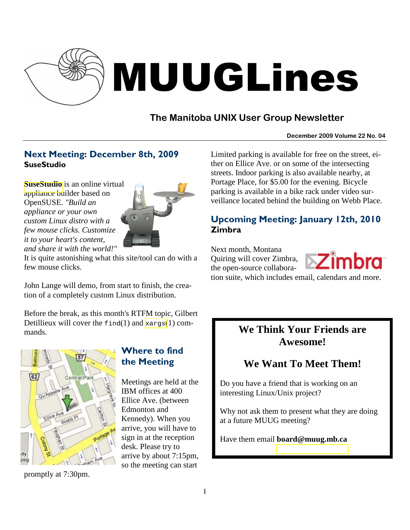

# MUUGLines

# **The Manitoba UNIX User Group Newsletter**

#### **December 2009 Volume 22 No. 04**

# Next Meeting: December 8th, 2009 **SuseStudio**

**[SuseStudio](http://susestudio.com/)** is an online virtual appliance builder based on OpenSUSE. *"Build an appliance or your own custom Linux distro with a few mouse clicks. Customize it to your heart's content, and share it with the world!"* 



It is quite astonishing what this site/tool can do with a few mouse clicks.

John Lange will demo, from start to finish, the creation of a completely custom Linux distribution.

Before the break, as this month's RTFM topic, Gilbert Detillieux will cover the  $\text{find}(1)$  and  $\text{xargs}(1)$  $\text{xargs}(1)$  $\text{xargs}(1)$  commands.



promptly at 7:30pm.

# Where to find the Meeting

Meetings are held at the IBM offices at 400 Ellice Ave. (between Edmonton and Kennedy). When you arrive, you will have to sign in at the reception desk. Please try to arrive by about 7:15pm, so the meeting can start

Limited parking is available for free on the street, either on Ellice Ave. or on some of the intersecting streets. Indoor parking is also available nearby, at Portage Place, for \$5.00 for the evening. Bicycle parking is available in a bike rack under video surveillance located behind the building on Webb Place.

# Upcoming Meeting: January 12th, 2010 Zimbra

Next month, Montana Quiring will cover Zimbra, the open-source collaboration suite, which includes email, calendars and more.



# **We Think Your Friends are Awesome!**

# **We Want To Meet Them!**

Do you have a friend that is working on an interesting Linux/Unix project?

Why not ask them to present what they are doing at a future MUUG meeting?

Have them email **board@muug.mb.ca**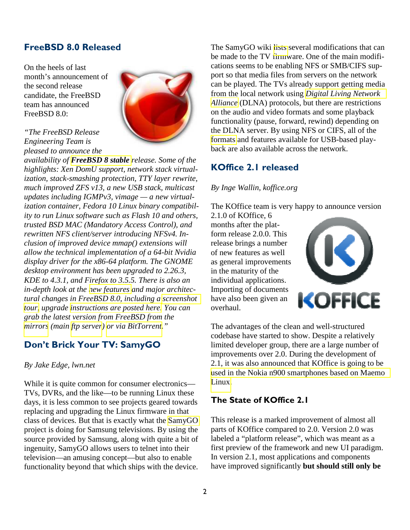# FreeBSD 8.0 Released

On the heels of last month's announcement of the second release candidate, the FreeBSD team has announced FreeBSD 8.0:



*"The FreeBSD Release Engineering Team is pleased to announce the* 

*availability of [FreeBSD 8 stable](http://www.freebsd.org/releases/8.0R/relnotes.html) release. Some of the highlights: Xen DomU support, network stack virtualization, stack-smashing protection, TTY layer rewrite, much improved ZFS v13, a new USB stack, multicast updates including IGMPv3, vimage — a new virtualization container, Fedora 10 Linux binary compatibility to run Linux software such as Flash 10 and others, trusted BSD MAC (Mandatory Access Control), and rewritten NFS client/server introducing NFSv4. Inclusion of improved device mmap() extensions will allow the technical implementation of a 64-bit Nvidia display driver for the x86-64 platform. The GNOME desktop environment has been upgraded to 2.26.3, KDE to 4.3.1, and Firefox to 3.5.5. There is also an in-depth look at the [new features](http://www.cyberciti.biz/tips/freebsd-8-0-review-enterprise-ready-server-operating-system.html) and major architectural changes in FreeBSD 8.0, including a [screenshot](http://www.cyberciti.biz/tour/freebsd-8/freebsd-8.html)  [tour,](http://www.cyberciti.biz/tour/freebsd-8/freebsd-8.html) upgrade [instructions are posted here.](http://www.cyberciti.biz/faq/freebsd-8-upgrade-tutorial/) You can grab the latest version from FreeBSD from the [mirrors](http://www.freebsd.org/doc/en_US.ISO8859-1/books/handbook/mirrors-ftp.html) (main [ftp server](ftp://ftp.freebsd.org/pub/FreeBSD/releases/i386/ISO-IMAGES/8.0/)) [or via BitTorrent.](http://torrents.freebsd.org:8080/)"*

# Don't Brick Your TV: SamyGO

#### *By Jake Edge, lwn.net*

While it is quite common for consumer electronics— TVs, DVRs, and the like—to be running Linux these days, it is less common to see projects geared towards replacing and upgrading the Linux firmware in that class of devices. But that is exactly what the [SamyGO](http://samygo.sourceforge.net/)  project is doing for Samsung televisions. By using the source provided by Samsung, along with quite a bit of ingenuity, SamyGO allows users to telnet into their television—an amusing concept—but also to enable functionality beyond that which ships with the device.

The SamyGO wiki [lists](http://sourceforge.net/apps/mediawiki/samygo/index.php?title=Main_Page) several modifications that can be made to the TV firmware. One of the main modifications seems to be enabling NFS or SMB/CIFS support so that media files from servers on the network can be played. The TVs already support getting media from the local network using *[Digital Living Network](http://en.wikipedia.org/wiki/Digital_Living_Network_Alliance)  [Alliance](http://en.wikipedia.org/wiki/Digital_Living_Network_Alliance)* (DLNA) protocols, but there are restrictions on the audio and video formats and some playback functionality (pause, forward, rewind) depending on the DLNA server. By using NFS or CIFS, all of the [formats](http://sourceforge.net/apps/mediawiki/samygo/index.php?title=Media_Play_and_DLNA) and features available for USB-based playback are also available across the network.

## KOffice 2.1 released

#### *By Inge Wallin, koffice.org*

The KOffice team is very happy to announce version

2.1.0 of KOffice, 6 months after the platform release 2.0.0. This release brings a number of new features as well as general improvements in the maturity of the individual applications. Importing of documents have also been given an overhaul.



The advantages of the clean and well-structured codebase have started to show. Despite a relatively limited developer group, there are a large number of improvements over 2.0. During the development of 2.1, it was also announced that KOffice is going to be [used in the Nokia n900 smartphones based on Maemo](http://www.koffice.org/news/office-viewer-for-maemo5-based-on-koffice/)  [Linux.](http://www.koffice.org/news/office-viewer-for-maemo5-based-on-koffice/)

## The State of KOffice 2.1

This release is a marked improvement of almost all parts of KOffice compared to 2.0. Version 2.0 was labeled a "platform release", which was meant as a first preview of the framework and new UI paradigm. In version 2.1, most applications and components have improved significantly **but should still only be**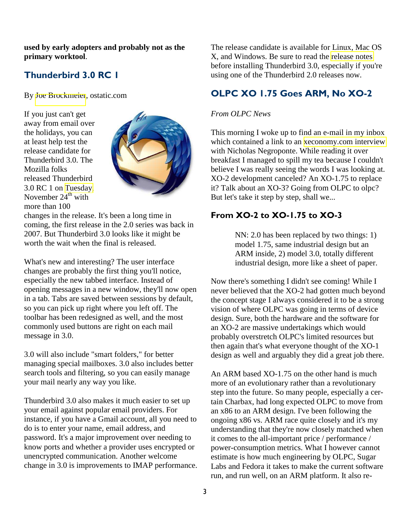**used by early adopters and probably not as the primary worktool**.

## Thunderbird 3.0 RC 1

By [Joe Brockmeier](http://ostatic.com/member/jzb), ostatic.com

If you just can't get away from email over the holidays, you can at least help test the release candidate for Thunderbird 3.0. The Mozilla folks released Thunderbird 3.0 RC 1 on [Tuesday,](http://stage.mozillamessaging.com/en-US/about/press/archive/2009-11-24-01) November  $24<sup>th</sup>$  with more than 100



changes in the release. It's been a long time in coming, the first release in the 2.0 series was back in 2007. But Thunderbird 3.0 looks like it might be worth the wait when the final is released.

What's new and interesting? The user interface changes are probably the first thing you'll notice, especially the new tabbed interface. Instead of opening messages in a new window, they'll now open in a tab. Tabs are saved between sessions by default, so you can pick up right where you left off. The toolbar has been redesigned as well, and the most commonly used buttons are right on each mail message in 3.0.

3.0 will also include "smart folders," for better managing special mailboxes. 3.0 also includes better search tools and filtering, so you can easily manage your mail nearly any way you like.

Thunderbird 3.0 also makes it much easier to set up your email against popular email providers. For instance, if you have a Gmail account, all you need to do is to enter your name, email address, and password. It's a major improvement over needing to know ports and whether a provider uses encrypted or unencrypted communication. Another welcome change in 3.0 is improvements to IMAP performance. The release candidate is available for Linux, Mac OS X, and Windows. Be sure to read the [release notes](http://stage.mozillamessaging.com/en-US/thunderbird/3.0rc1/releasenotes/)  before installing Thunderbird 3.0, especially if you're using one of the Thunderbird 2.0 releases now.

# OLPC XO 1.75 Goes ARM, No XO-2

#### *From OLPC News*

This morning I woke up to find an e-mail in my inbox which contained a link to an [xeconomy.com interview](http://www.xconomy.com/boston/2009/11/02/negroponte-outlines-the-future-of-olpc-hints-at-paperlike-design-for-third-generation-laptop/)  with Nicholas Negroponte. While reading it over breakfast I managed to spill my tea because I couldn't believe I was really seeing the words I was looking at. XO-2 development canceled? An XO-1.75 to replace it? Talk about an XO-3? Going from OLPC to olpc? But let's take it step by step, shall we...

## From XO-2 to XO-1.75 to XO-3

NN: 2.0 has been replaced by two things: 1) model 1.75, same industrial design but an ARM inside, 2) model 3.0, totally different industrial design, more like a sheet of paper.

Now there's something I didn't see coming! While I never believed that the XO-2 had gotten much beyond the concept stage I always considered it to be a strong vision of where OLPC was going in terms of device design. Sure, both the hardware and the software for an XO-2 are massive undertakings which would probably overstretch OLPC's limited resources but then again that's what everyone thought of the XO-1 design as well and arguably they did a great job there.

An ARM based XO-1.75 on the other hand is much more of an evolutionary rather than a revolutionary step into the future. So many people, especially a certain Charbax, had long expected OLPC to move from an x86 to an ARM design. I've been following the ongoing x86 vs. ARM race quite closely and it's my understanding that they're now closely matched when it comes to the all-important price / performance / power-consumption metrics. What I however cannot estimate is how much engineering by OLPC, Sugar Labs and Fedora it takes to make the current software run, and run well, on an ARM platform. It also re